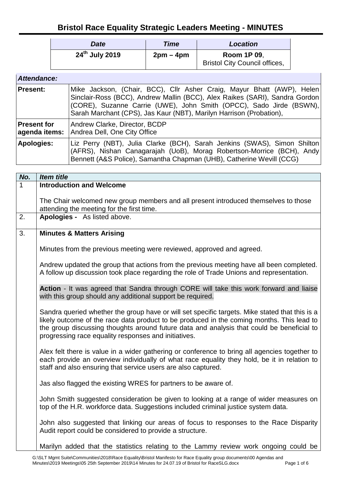## **Bristol Race Equality Strategic Leaders Meeting - MINUTES**

| <b>Date</b>                | Time      | <b>Location</b>                                            |
|----------------------------|-----------|------------------------------------------------------------|
| 24 <sup>th</sup> July 2019 | $2pm-4pm$ | <b>Room 1P 09,</b><br><b>Bristol City Council offices,</b> |

| Attendance:                         |                                                                                                                                                                                                                                                                                                     |
|-------------------------------------|-----------------------------------------------------------------------------------------------------------------------------------------------------------------------------------------------------------------------------------------------------------------------------------------------------|
| <b>Present:</b>                     | Mike Jackson, (Chair, BCC), Cllr Asher Craig, Mayur Bhatt (AWP), Helen<br>Sinclair-Ross (BCC), Andrew Mallin (BCC), Alex Raikes (SARI), Sandra Gordon<br>(CORE), Suzanne Carrie (UWE), John Smith (OPCC), Sado Jirde (BSWN),<br>Sarah Marchant (CPS), Jas Kaur (NBT), Marilyn Harrison (Probation), |
| <b>Present for</b><br>agenda items: | Andrew Clarke, Director, BCDP<br>Andrea Dell, One City Office                                                                                                                                                                                                                                       |
| <b>Apologies:</b>                   | Liz Perry (NBT), Julia Clarke (BCH), Sarah Jenkins (SWAS), Simon Shilton<br>(AFRS), Nishan Canagarajah (UoB), Morag Robertson-Morrice (BCH), Andy<br>Bennett (A&S Police), Samantha Chapman (UHB), Catherine Wevill (CCG)                                                                           |

| No. | <b>Item title</b>                                                                                                                                                                                                                                                                                                                                |  |
|-----|--------------------------------------------------------------------------------------------------------------------------------------------------------------------------------------------------------------------------------------------------------------------------------------------------------------------------------------------------|--|
| 1   | <b>Introduction and Welcome</b>                                                                                                                                                                                                                                                                                                                  |  |
|     |                                                                                                                                                                                                                                                                                                                                                  |  |
|     | The Chair welcomed new group members and all present introduced themselves to those                                                                                                                                                                                                                                                              |  |
|     | attending the meeting for the first time.                                                                                                                                                                                                                                                                                                        |  |
| 2.  | Apologies - As listed above.                                                                                                                                                                                                                                                                                                                     |  |
|     |                                                                                                                                                                                                                                                                                                                                                  |  |
| 3.  | <b>Minutes &amp; Matters Arising</b>                                                                                                                                                                                                                                                                                                             |  |
|     | Minutes from the previous meeting were reviewed, approved and agreed.                                                                                                                                                                                                                                                                            |  |
|     |                                                                                                                                                                                                                                                                                                                                                  |  |
|     | Andrew updated the group that actions from the previous meeting have all been completed.<br>A follow up discussion took place regarding the role of Trade Unions and representation.                                                                                                                                                             |  |
|     | Action - It was agreed that Sandra through CORE will take this work forward and liaise<br>with this group should any additional support be required.                                                                                                                                                                                             |  |
|     | Sandra queried whether the group have or will set specific targets. Mike stated that this is a<br>likely outcome of the race data product to be produced in the coming months. This lead to<br>the group discussing thoughts around future data and analysis that could be beneficial to<br>progressing race equality responses and initiatives. |  |
|     | Alex felt there is value in a wider gathering or conference to bring all agencies together to<br>each provide an overview individually of what race equality they hold, be it in relation to<br>staff and also ensuring that service users are also captured.                                                                                    |  |
|     | Jas also flagged the existing WRES for partners to be aware of.                                                                                                                                                                                                                                                                                  |  |
|     | John Smith suggested consideration be given to looking at a range of wider measures on<br>top of the H.R. workforce data. Suggestions included criminal justice system data.                                                                                                                                                                     |  |
|     | John also suggested that linking our areas of focus to responses to the Race Disparity<br>Audit report could be considered to provide a structure.                                                                                                                                                                                               |  |
|     | Marilyn added that the statistics relating to the Lammy review work ongoing could be                                                                                                                                                                                                                                                             |  |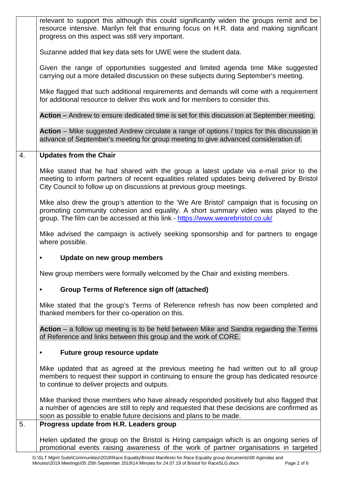|    | relevant to support this although this could significantly widen the groups remit and be<br>resource intensive. Marilyn felt that ensuring focus on H.R. data and making significant<br>progress on this aspect was still very important.                                                             |
|----|-------------------------------------------------------------------------------------------------------------------------------------------------------------------------------------------------------------------------------------------------------------------------------------------------------|
|    | Suzanne added that key data sets for UWE were the student data.                                                                                                                                                                                                                                       |
|    | Given the range of opportunities suggested and limited agenda time Mike suggested<br>carrying out a more detailed discussion on these subjects during September's meeting.                                                                                                                            |
|    | Mike flagged that such additional requirements and demands will come with a requirement<br>for additional resource to deliver this work and for members to consider this.                                                                                                                             |
|    | Action – Andrew to ensure dedicated time is set for this discussion at September meeting.                                                                                                                                                                                                             |
|    | Action – Mike suggested Andrew circulate a range of options / topics for this discussion in<br>advance of September's meeting for group meeting to give advanced consideration of.                                                                                                                    |
| 4. | <b>Updates from the Chair</b>                                                                                                                                                                                                                                                                         |
|    | Mike stated that he had shared with the group a latest update via e-mail prior to the<br>meeting to inform partners of recent equalities related updates being delivered by Bristol<br>City Council to follow up on discussions at previous group meetings.                                           |
|    | Mike also drew the group's attention to the 'We Are Bristol' campaign that is focusing on<br>promoting community cohesion and equality. A short summary video was played to the<br>group. The film can be accessed at this link - https://www.wearebristol.co.uk/                                     |
|    | Mike advised the campaign is actively seeking sponsorship and for partners to engage<br>where possible.                                                                                                                                                                                               |
|    | Update on new group members                                                                                                                                                                                                                                                                           |
|    | New group members were formally welcomed by the Chair and existing members.                                                                                                                                                                                                                           |
|    | <b>Group Terms of Reference sign off (attached)</b><br>$\bullet$                                                                                                                                                                                                                                      |
|    | Mike stated that the group's Terms of Reference refresh has now been completed and<br>thanked members for their co-operation on this.                                                                                                                                                                 |
|    | Action $-$ a follow up meeting is to be held between Mike and Sandra regarding the Terms<br>of Reference and links between this group and the work of CORE.                                                                                                                                           |
|    | Future group resource update<br>$\bullet$                                                                                                                                                                                                                                                             |
|    | Mike updated that as agreed at the previous meeting he had written out to all group<br>members to request their support in continuing to ensure the group has dedicated resource<br>to continue to deliver projects and outputs.                                                                      |
| 5. | Mike thanked those members who have already responded positively but also flagged that<br>a number of agencies are still to reply and requested that these decisions are confirmed as<br>soon as possible to enable future decisions and plans to be made.<br>Progress update from H.R. Leaders group |
|    |                                                                                                                                                                                                                                                                                                       |
|    | Helen updated the group on the Bristol is Hiring campaign which is an ongoing series of<br>promotional events raising awareness of the work of partner organisations in targeted                                                                                                                      |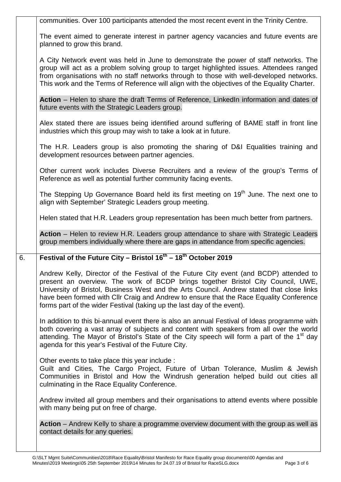|    | communities. Over 100 participants attended the most recent event in the Trinity Centre.                                                                                                                                                                                                                                                                                                                                                      |
|----|-----------------------------------------------------------------------------------------------------------------------------------------------------------------------------------------------------------------------------------------------------------------------------------------------------------------------------------------------------------------------------------------------------------------------------------------------|
|    | The event aimed to generate interest in partner agency vacancies and future events are<br>planned to grow this brand.                                                                                                                                                                                                                                                                                                                         |
|    | A City Network event was held in June to demonstrate the power of staff networks. The<br>group will act as a problem solving group to target highlighted issues. Attendees ranged<br>from organisations with no staff networks through to those with well-developed networks.<br>This work and the Terms of Reference will align with the objectives of the Equality Charter.                                                                 |
|    | Action – Helen to share the draft Terms of Reference, LinkedIn information and dates of<br>future events with the Strategic Leaders group.                                                                                                                                                                                                                                                                                                    |
|    | Alex stated there are issues being identified around suffering of BAME staff in front line<br>industries which this group may wish to take a look at in future.                                                                                                                                                                                                                                                                               |
|    | The H.R. Leaders group is also promoting the sharing of D&I Equalities training and<br>development resources between partner agencies.                                                                                                                                                                                                                                                                                                        |
|    | Other current work includes Diverse Recruiters and a review of the group's Terms of<br>Reference as well as potential further community facing events.                                                                                                                                                                                                                                                                                        |
|    | The Stepping Up Governance Board held its first meeting on 19 <sup>th</sup> June. The next one to<br>align with September' Strategic Leaders group meeting.                                                                                                                                                                                                                                                                                   |
|    | Helen stated that H.R. Leaders group representation has been much better from partners.                                                                                                                                                                                                                                                                                                                                                       |
|    | Action – Helen to review H.R. Leaders group attendance to share with Strategic Leaders<br>group members individually where there are gaps in attendance from specific agencies.                                                                                                                                                                                                                                                               |
| 6. | Festival of the Future City - Bristol $16^{th}$ - $18^{th}$ October 2019                                                                                                                                                                                                                                                                                                                                                                      |
|    |                                                                                                                                                                                                                                                                                                                                                                                                                                               |
|    | Andrew Kelly, Director of the Festival of the Future City event (and BCDP) attended to<br>present an overview. The work of BCDP brings together Bristol City Council, UWE,<br>University of Bristol, Business West and the Arts Council. Andrew stated that close links<br>have been formed with Cllr Craig and Andrew to ensure that the Race Equality Conference<br>forms part of the wider Festival (taking up the last day of the event). |
|    | In addition to this bi-annual event there is also an annual Festival of Ideas programme with<br>both covering a vast array of subjects and content with speakers from all over the world<br>attending. The Mayor of Bristol's State of the City speech will form a part of the 1 <sup>st</sup> day<br>agenda for this year's Festival of the Future City.                                                                                     |
|    | Other events to take place this year include :<br>Guilt and Cities, The Cargo Project, Future of Urban Tolerance, Muslim & Jewish<br>Communities in Bristol and How the Windrush generation helped build out cities all<br>culminating in the Race Equality Conference.                                                                                                                                                                       |
|    | Andrew invited all group members and their organisations to attend events where possible<br>with many being put on free of charge.                                                                                                                                                                                                                                                                                                            |
|    | Action – Andrew Kelly to share a programme overview document with the group as well as<br>contact details for any queries.                                                                                                                                                                                                                                                                                                                    |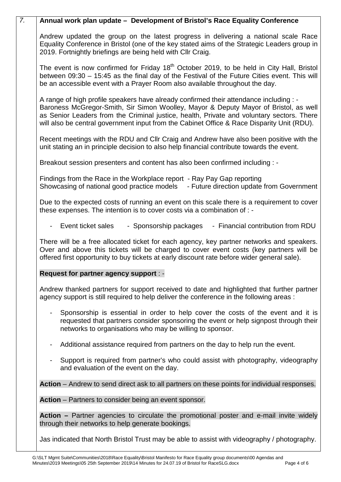|                | Annual work plan update – Development of Bristol's Race Equality Conference                                                                                                                                                                                                                                                                                               |
|----------------|---------------------------------------------------------------------------------------------------------------------------------------------------------------------------------------------------------------------------------------------------------------------------------------------------------------------------------------------------------------------------|
|                | Andrew updated the group on the latest progress in delivering a national scale Race<br>Equality Conference in Bristol (one of the key stated aims of the Strategic Leaders group in<br>2019. Fortnightly briefings are being held with Cllr Craig.                                                                                                                        |
|                | The event is now confirmed for Friday 18 <sup>th</sup> October 2019, to be held in City Hall, Bristol<br>between 09:30 - 15:45 as the final day of the Festival of the Future Cities event. This will<br>be an accessible event with a Prayer Room also available throughout the day.                                                                                     |
|                | A range of high profile speakers have already confirmed their attendance including : -<br>Baroness McGregor-Smith, Sir Simon Woolley, Mayor & Deputy Mayor of Bristol, as well<br>as Senior Leaders from the Criminal justice, health, Private and voluntary sectors. There<br>will also be central government input from the Cabinet Office & Race Disparity Unit (RDU). |
|                | Recent meetings with the RDU and CIIr Craig and Andrew have also been positive with the<br>unit stating an in principle decision to also help financial contribute towards the event.                                                                                                                                                                                     |
|                | Breakout session presenters and content has also been confirmed including : -                                                                                                                                                                                                                                                                                             |
|                | Findings from the Race in the Workplace report - Ray Pay Gap reporting<br>Showcasing of national good practice models<br>- Future direction update from Government                                                                                                                                                                                                        |
|                | Due to the expected costs of running an event on this scale there is a requirement to cover<br>these expenses. The intention is to cover costs via a combination of : -                                                                                                                                                                                                   |
|                | - Event ticket sales<br>- Sponsorship packages<br>- Financial contribution from RDU                                                                                                                                                                                                                                                                                       |
|                | There will be a free allocated ticket for each agency, key partner networks and speakers.<br>Over and above this tickets will be charged to cover event costs (key partners will be<br>offered first opportunity to buy tickets at early discount rate before wider general sale).                                                                                        |
|                | Request for partner agency support : -                                                                                                                                                                                                                                                                                                                                    |
|                | Andrew thanked partners for support received to date and highlighted that further partner<br>agency support is still required to help deliver the conference in the following areas :                                                                                                                                                                                     |
|                | Sponsorship is essential in order to help cover the costs of the event and it is<br>requested that partners consider sponsoring the event or help signpost through their<br>networks to organisations who may be willing to sponsor.                                                                                                                                      |
| $\blacksquare$ | Additional assistance required from partners on the day to help run the event.                                                                                                                                                                                                                                                                                            |
| $\blacksquare$ | Support is required from partner's who could assist with photography, videography<br>and evaluation of the event on the day.                                                                                                                                                                                                                                              |
|                | Action – Andrew to send direct ask to all partners on these points for individual responses.                                                                                                                                                                                                                                                                              |
|                | Action – Partners to consider being an event sponsor.                                                                                                                                                                                                                                                                                                                     |
|                | Action – Partner agencies to circulate the promotional poster and e-mail invite widely<br>through their networks to help generate bookings.                                                                                                                                                                                                                               |
|                | Jas indicated that North Bristol Trust may be able to assist with videography / photography.                                                                                                                                                                                                                                                                              |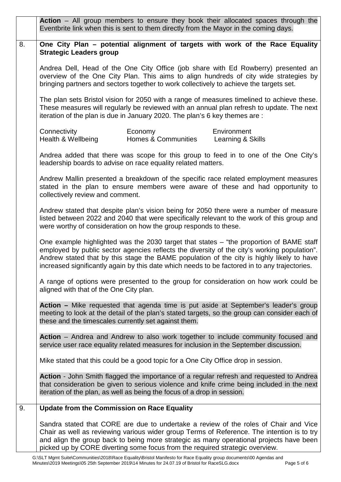|    | Action – All group members to ensure they book their allocated spaces through the<br>Eventbrite link when this is sent to them directly from the Mayor in the coming days.                                                                                                                                                                                                            |
|----|---------------------------------------------------------------------------------------------------------------------------------------------------------------------------------------------------------------------------------------------------------------------------------------------------------------------------------------------------------------------------------------|
| 8. | One City Plan - potential alignment of targets with work of the Race Equality<br><b>Strategic Leaders group</b>                                                                                                                                                                                                                                                                       |
|    | Andrea Dell, Head of the One City Office (job share with Ed Rowberry) presented an<br>overview of the One City Plan. This aims to align hundreds of city wide strategies by<br>bringing partners and sectors together to work collectively to achieve the targets set.                                                                                                                |
|    | The plan sets Bristol vision for 2050 with a range of measures timelined to achieve these.<br>These measures will regularly be reviewed with an annual plan refresh to update. The next<br>iteration of the plan is due in January 2020. The plan's 6 key themes are :                                                                                                                |
|    | Connectivity<br>Economy<br>Environment<br>Health & Wellbeing<br><b>Homes &amp; Communities</b><br>Learning & Skills                                                                                                                                                                                                                                                                   |
|    | Andrea added that there was scope for this group to feed in to one of the One City's<br>leadership boards to advise on race equality related matters.                                                                                                                                                                                                                                 |
|    | Andrew Mallin presented a breakdown of the specific race related employment measures<br>stated in the plan to ensure members were aware of these and had opportunity to<br>collectively review and comment.                                                                                                                                                                           |
|    | Andrew stated that despite plan's vision being for 2050 there were a number of measure<br>listed between 2022 and 2040 that were specifically relevant to the work of this group and<br>were worthy of consideration on how the group responds to these.                                                                                                                              |
|    | One example highlighted was the 2030 target that states – "the proportion of BAME staff<br>employed by public sector agencies reflects the diversity of the city's working population".<br>Andrew stated that by this stage the BAME population of the city is highly likely to have<br>increased significantly again by this date which needs to be factored in to any trajectories. |
|    | A range of options were presented to the group for consideration on how work could be<br>aligned with that of the One City plan.                                                                                                                                                                                                                                                      |
|    | Action – Mike requested that agenda time is put aside at September's leader's group<br>meeting to look at the detail of the plan's stated targets, so the group can consider each of<br>these and the timescales currently set against them.                                                                                                                                          |
|    | Action – Andrea and Andrew to also work together to include community focused and<br>service user race equality related measures for inclusion in the September discussion.                                                                                                                                                                                                           |
|    | Mike stated that this could be a good topic for a One City Office drop in session.                                                                                                                                                                                                                                                                                                    |
|    | Action - John Smith flagged the importance of a regular refresh and requested to Andrea<br>that consideration be given to serious violence and knife crime being included in the next<br>iteration of the plan, as well as being the focus of a drop in session.                                                                                                                      |
| 9. | <b>Update from the Commission on Race Equality</b>                                                                                                                                                                                                                                                                                                                                    |
|    | Sandra stated that CORE are due to undertake a review of the roles of Chair and Vice<br>Chair as well as reviewing various wider group Terms of Reference. The intention is to try<br>and align the group back to being more strategic as many operational projects have been<br>picked up by CORE diverting some focus from the required strategic overview.                         |